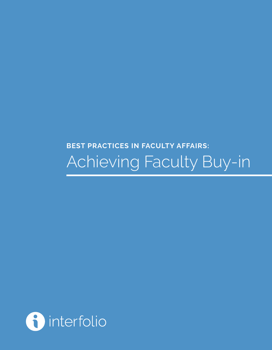# **BEST PRACTICES IN FACULTY AFFAIRS:**  Achieving Faculty Buy-in

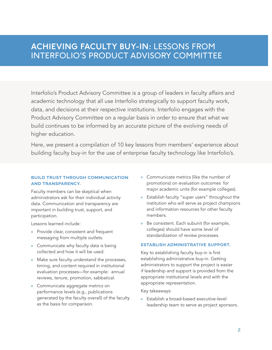Interfolio's Product Advisory Committee is a group of leaders in faculty affairs and academic technology that all use Interfolio strategically to support faculty work, data, and decisions at their respective institutions. Interfolio engages with the Product Advisory Committee on a regular basis in order to ensure that what we build continues to be informed by an accurate picture of the evolving needs of higher education.

Here, we present a compilation of 10 key lessons from members' experience about building faculty buy-in for the use of enterprise faculty technology like Interfolio's.

#### **build trust through communication and transparency.**

Faculty members can be skeptical when administrators ask for their individual activity data. Communication and transparency are important in building trust, support, and participation.

Lessons learned include:

- » Provide clear, consistent and frequent messaging from multiple outlets.
- » Communicate why faculty data is being collected and how it will be used.
- » Make sure faculty understand the processes, timing, and content required in institutional evaluation processes—for example: annual reviews, tenure, promotion, sabbatical.
- » Communicate aggregate metrics on performance levels (e.g., publications generated by the faculty overall) of the faculty as the basis for comparison.
- » Communicate metrics (like the number of promotions) on evaluation outcomes for major academic units (for example colleges).
- » Establish faculty "super users" throughout the institution who will serve as project champions and information resources for other faculty members.
- » Be consistent. Each subunit (for example, colleges) should have some level of standardization of review processes.

#### **establish administrative support.**

Key to establishing faculty buy-in is first establishing administrative buy-in. Getting administrators to support the project is easier if leadership and support is provided from the appropriate institutional levels and with the appropriate representation.

Key takeaways:

» Establish a broad-based executive-level leadership team to serve as project sponsors.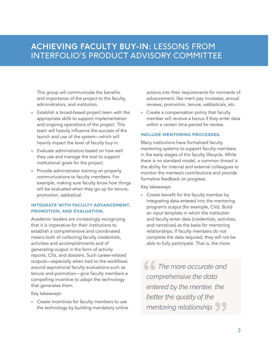This group will communicate the benefits and importance of the project to the faculty, administrators, and institution.

- » Establish a broad-based project team with the appropriate skills to support implementation and ongoing operations of the project. This team will heavily influence the success of the launch and use of the system—which will heavily impact the level of faculty buy-in.
- » Evaluate administrators based on how well they use and manage the tool to support institutional goals for the project.
- » Provide administrator training on properly communications to faculty members. For example, making sure faculty know how things will be evaluated when they go up for tenure, promotion, sabbatical.

#### **integrate with faculty advancement, promotion, and evaluation.**

Academic leaders are increasingly recognizing that it is imperative for their institutions to establish a comprehensive and coordinated means both of *collecting* faculty credentials, activities and accomplishments and of *generating outpu*t in the form of activity reports, CVs, and dossiers. Such career-related outputs—especially when tied to the workflows around aspirational faculty evaluations such as tenure and promotion—give faculty members a compelling incentive to adopt the technology that generates them.

Key takeaways:

» Create incentives for faculty members to use the technology by building mandatory online actions into their requirements for moments of advancement, like merit pay increases, annual reviews, promotion, tenure, sabbaticals, etc.

» Create a compensation policy that faculty member will receive a bonus if they enter data within a certain time period for review.

#### **include mentoring processes.**

Many institutions have formalized faculty mentoring systems to support faculty members in the early stages of the faculty lifecycle. While there is no standard model, a common thread is the ability for internal and external colleagues to monitor the mentee's contributions and provide formative feedback on progress.

Key takeaways:

» Create benefit for the faculty member by integrating data entered into the mentoring program's output (for example, CVs). Build an input template in which the institution and faculty enter data (credentials, activities, and narratives) as the basis for mentoring relationships. If faculty members do not complete the data required, they will not be able to fully participate. That is, the more

**16 The more accurate and<br>
comprehensive the data<br>
entered by the mentee, the** *comprehensive the data entered by the mentee, the better the quality of the mentoring relationship.* **"**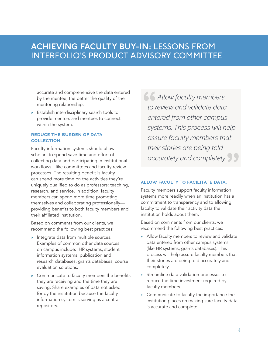accurate and comprehensive the data entered by the mentee, the better the quality of the mentoring relationship.

» Establish interdisciplinary search tools to provide mentors and mentees to connect within the system.

#### **reduce the burden of data collection.**

Faculty information systems should allow scholars to spend save time and effort of collecting data and participating in institutional workflows—like committees and faculty review processes. The resulting benefit is faculty can spend more time on the activities they're uniquely qualified to do as professors: teaching, research, and service. In addition, faculty members can spend more time promoting themselves and collaborating professionally providing benefits to both faculty members and their affiliated institution.

Based on comments from our clients, we recommend the following best practices:

- » Integrate data from multiple sources. Examples of common other data sources on campus include: HR systems, student information systems, publication and research databases, grants databases, course evaluation solutions.
- » Communicate to faculty members the benefits they are receiving and the time they are saving. Share examples of data not asked for by the institution because the faculty information system is serving as a central repository.

**4 Allow faculty members<br>
to review and validate data<br>
entered from other campus** *to review and validate data entered from other campus systems. This process will help assure faculty members that their stories are being told accurately and completely.* **"**

#### **allow faculty to facilitate data.**

Faculty members support faculty information systems more readily when an institution has a commitment to transparency and to allowing faculty to validate their activity data the institution holds about them.

Based on comments from our clients, we recommend the following best practices:

- » Allow faculty members to review and validate data entered from other campus systems (like HR systems, grants databases). This process will help assure faculty members that their stories are being told accurately and completely.
- » Streamline data validation processes to reduce the time investment required by faculty members.
- » Communicate to faculty the importance the institution places on making sure faculty data is accurate and complete.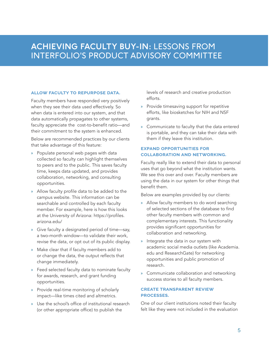#### **allow faculty to repurpose data.**

Faculty members have responded very positively when they see their data used effectively. So when data is entered into our system, and that data automatically propagates to other systems, faculty appreciate the cost-to-benefit ratio—and their commitment to the system is enhanced.

Below are recommended practices by our clients that take advantage of this feature:

- » Populate personal web pages with data collected so faculty can highlight themselves to peers and to the public. This saves faculty time, keeps data updated, and provides collaboration, networking, and consulting opportunities.
- » Allow faculty profile data to be added to the campus website. This information can be searchable and controlled by each faculty member. For example, here is how this looks at the University of Arizona: https://profiles. arizona.edu/
- » Give faculty a designated period of time—say, a two-month window—to validate their work, revise the data, or opt out of its public display.
- » Make clear that if faculty members add to or change the data, the output reflects that change immediately.
- » Feed selected faculty data to nominate faculty for awards, research, and grant funding opportunities.
- » Provide real-time monitoring of scholarly impact—like times cited and altmetrics.
- » Use the school's office of institutional research (or other appropriate office) to publish the

levels of research and creative production efforts.

- » Provide timesaving support for repetitive efforts, like biosketches for NIH and NSF grants.
- » Communicate to faculty that the data entered is portable, and they can take their data with them if they leave this institution.

#### **expand opportunities for collaboration and networking.**

Faculty really like to extend their data to personal uses that go beyond what the institution wants. We see this over and over. Faculty members are using the data in our system for other things that benefit them.

Below are examples provided by our clients:

- » Allow faculty members to do word searching of selected sections of the database to find other faculty members with common and complementary interests. This functionality provides significant opportunities for collaboration and networking.
- » Integrate the data in our system with academic social media outlets (like Academia. edu and ResearchGate) for networking opportunities and public promotion of research.
- » Communicate collaboration and networking success stories to all faculty members.

#### **create transparent review processes.**

One of our client institutions noted their faculty felt like they were not included in the evaluation